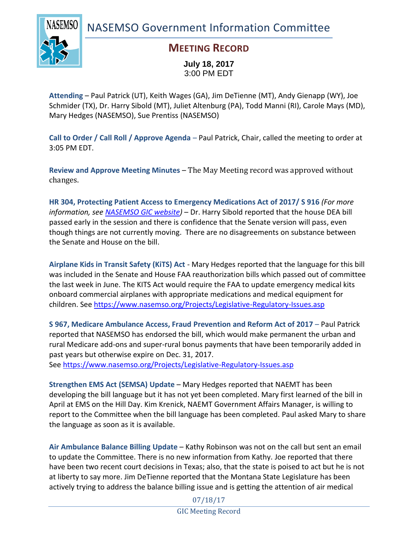NASEMSO Government Information Committee



### **MEETING RECORD**

**July 18, 2017** 3:00 PM EDT

**Attending** – Paul Patrick (UT), Keith Wages (GA), Jim DeTienne (MT), Andy Gienapp (WY), Joe Schmider (TX), Dr. Harry Sibold (MT), Juliet Altenburg (PA), Todd Manni (RI), Carole Mays (MD), Mary Hedges (NASEMSO), Sue Prentiss (NASEMSO)

**Call to Order / Call Roll / Approve Agenda** – Paul Patrick, Chair, called the meeting to order at 3:05 PM EDT.

**Review and Approve Meeting Minutes** – The May Meeting record was approved without changes.

**HR 304, Protecting Patient Access to Emergency Medications Act of 2017/ S 916** *(For more information, see [NASEMSO GIC website\)](https://www.nasemso.org/Projects/Legislative-Regulatory-Issues.asp)* – Dr. Harry Sibold reported that the house DEA bill passed early in the session and there is confidence that the Senate version will pass, even though things are not currently moving. There are no disagreements on substance between the Senate and House on the bill.

**Airplane Kids in Transit Safety (KiTS) Act** - Mary Hedges reported that the language for this bill was included in the Senate and House FAA reauthorization bills which passed out of committee the last week in June. The KITS Act would require the FAA to update emergency medical kits onboard commercial airplanes with appropriate medications and medical equipment for children. See<https://www.nasemso.org/Projects/Legislative-Regulatory-Issues.asp>

**S 967, Medicare Ambulance Access, Fraud Prevention and Reform Act of 2017** – Paul Patrick reported that NASEMSO has endorsed the bill, which would make permanent the urban and rural Medicare add-ons and super-rural bonus payments that have been temporarily added in past years but otherwise expire on Dec. 31, 2017.

See <https://www.nasemso.org/Projects/Legislative-Regulatory-Issues.asp>

**Strengthen EMS Act (SEMSA) Update** – Mary Hedges reported that NAEMT has been developing the bill language but it has not yet been completed. Mary first learned of the bill in April at EMS on the Hill Day. Kim Krenick, NAEMT Government Affairs Manager, is willing to report to the Committee when the bill language has been completed. Paul asked Mary to share the language as soon as it is available.

**Air Ambulance Balance Billing Update** – Kathy Robinson was not on the call but sent an email to update the Committee. There is no new information from Kathy. Joe reported that there have been two recent court decisions in Texas; also, that the state is poised to act but he is not at liberty to say more. Jim DeTienne reported that the Montana State Legislature has been actively trying to address the balance billing issue and is getting the attention of air medical

> 07/18/17 GIC Meeting Record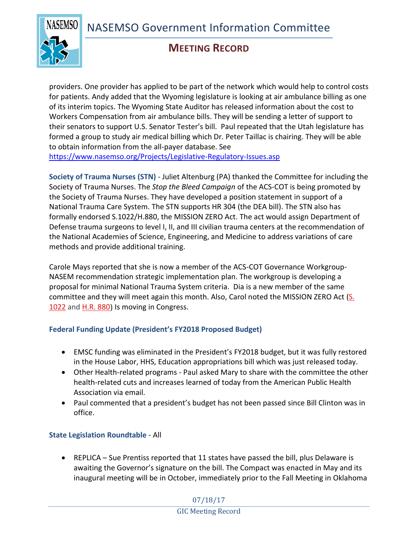NASEMSO Government Information Committee



## **MEETING RECORD**

providers. One provider has applied to be part of the network which would help to control costs for patients. Andy added that the Wyoming legislature is looking at air ambulance billing as one of its interim topics. The Wyoming State Auditor has released information about the cost to Workers Compensation from air ambulance bills. They will be sending a letter of support to their senators to support U.S. Senator Tester's bill. Paul repeated that the Utah legislature has formed a group to study air medical billing which Dr. Peter Taillac is chairing. They will be able to obtain information from the all-payer database. See <https://www.nasemso.org/Projects/Legislative-Regulatory-Issues.asp>

**Society of Trauma Nurses (STN)** - Juliet Altenburg (PA) thanked the Committee for including the Society of Trauma Nurses. The *Stop the Bleed Campaign* of the ACS-COT is being promoted by the Society of Trauma Nurses. They have developed a position statement in support of a National Trauma Care System. The STN supports HR 304 (the DEA bill). The STN also has formally endorsed S.1022/H.880, the MISSION ZERO Act. The act would assign Department of Defense trauma surgeons to level I, II, and III civilian trauma centers at the recommendation of the National Academies of Science, Engineering, and Medicine to address variations of care methods and provide additional training.

Carole Mays reported that she is now a member of the ACS-COT Governance Workgroup-NASEM recommendation strategic implementation plan. The workgroup is developing a proposal for minimal National Trauma System criteria. Dia is a new member of the same committee and they will meet again this month. Also, Carol noted the MISSION ZERO Act [\(S.](https://www.congress.gov/bill/115th-congress/senate-bill/1022?q=%7B%22search%22:%5B%22S.1022%22%5D%7D&r=1)  [1022](https://www.congress.gov/bill/115th-congress/senate-bill/1022?q=%7B%22search%22:%5B%22S.1022%22%5D%7D&r=1) and [H.R. 880](https://www.congress.gov/bill/115th-congress/house-bill/880?q=%7B%22search%22:%5B%22H.R.+880%22%5D%7D&r=1)) Is moving in Congress.

#### **Federal Funding Update (President's FY2018 Proposed Budget)**

- EMSC funding was eliminated in the President's FY2018 budget, but it was fully restored in the House Labor, HHS, Education appropriations bill which was just released today.
- Other Health-related programs Paul asked Mary to share with the committee the other health-related cuts and increases learned of today from the American Public Health Association via email.
- Paul commented that a president's budget has not been passed since Bill Clinton was in office.

#### **State Legislation Roundtable** - All

 REPLICA – Sue Prentiss reported that 11 states have passed the bill, plus Delaware is awaiting the Governor's signature on the bill. The Compact was enacted in May and its inaugural meeting will be in October, immediately prior to the Fall Meeting in Oklahoma